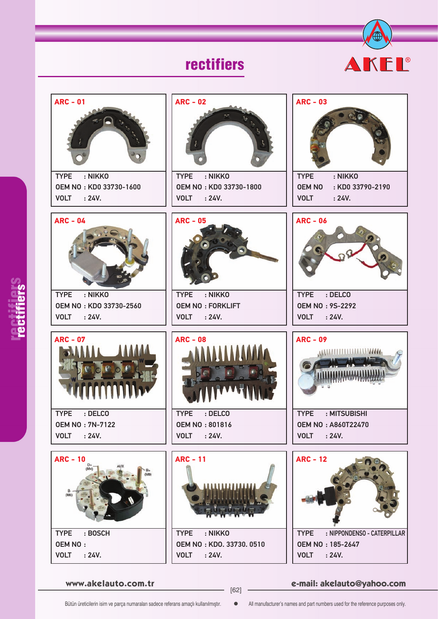## rectifiers





rectifiers rectifiers

**www.akelauto.com.tr e-mail: akelauto@yahoo.com** [62]

Bütün üreticilerin isim ve parça numaraları sadece referans amaçlı kullanılmıştır.  $\bullet$  All manufacturer's names and part numbers used for the reference purposes only.